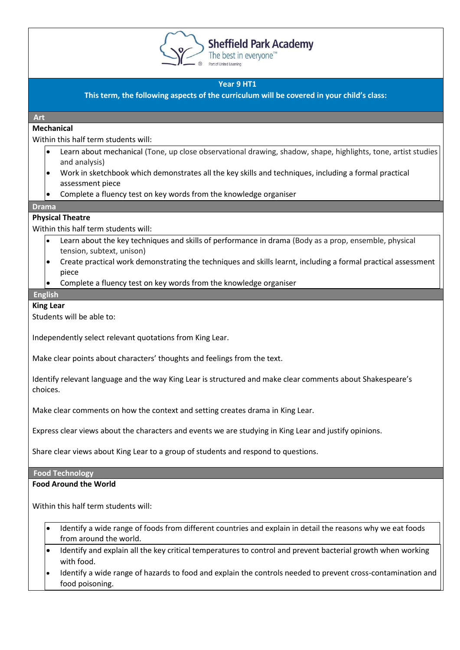

# **Sheffield Park Academy**

The best in everyone<sup>™</sup>

# **Year 9 HT1**

**This term, the following aspects of the curriculum will be covered in your child's class:**

# **Art**

# **Mechanical**

Within this half term students will:

- Learn about mechanical (Tone, up close observational drawing, shadow, shape, highlights, tone, artist studies and analysis)
- Work in sketchbook which demonstrates all the key skills and techniques, including a formal practical assessment piece
- Complete a fluency test on key words from the knowledge organiser

#### **Drama**

# **Physical Theatre**

Within this half term students will:

- Learn about the key techniques and skills of performance in drama (Body as a prop, ensemble, physical tension, subtext, unison)
- Create practical work demonstrating the techniques and skills learnt, including a formal practical assessment piece
- Complete a fluency test on key words from the knowledge organiser

#### **English**

# **King Lear**

Students will be able to:

Independently select relevant quotations from King Lear.

Make clear points about characters' thoughts and feelings from the text.

Identify relevant language and the way King Lear is structured and make clear comments about Shakespeare's choices.

Make clear comments on how the context and setting creates drama in King Lear.

Express clear views about the characters and events we are studying in King Lear and justify opinions.

Share clear views about King Lear to a group of students and respond to questions.

# **Food Technology**

# **Food Around the World**

Within this half term students will:

- Identify a wide range of foods from different countries and explain in detail the reasons why we eat foods from around the world.
- Identify and explain all the key critical temperatures to control and prevent bacterial growth when working with food.
- Identify a wide range of hazards to food and explain the controls needed to prevent cross-contamination and food poisoning.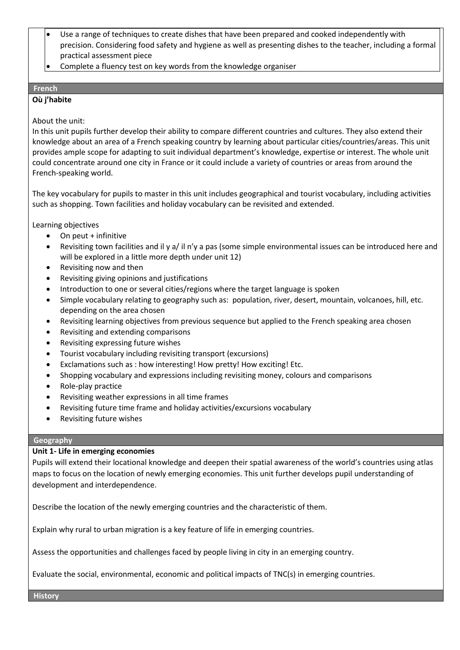- Use a range of techniques to create dishes that have been prepared and cooked independently with precision. Considering food safety and hygiene as well as presenting dishes to the teacher, including a formal practical assessment piece
- Complete a fluency test on key words from the knowledge organiser

#### **French**

# **Où j'habite**

# About the unit:

In this unit pupils further develop their ability to compare different countries and cultures. They also extend their knowledge about an area of a French speaking country by learning about particular cities/countries/areas. This unit provides ample scope for adapting to suit individual department's knowledge, expertise or interest. The whole unit could concentrate around one city in France or it could include a variety of countries or areas from around the French-speaking world.

The key vocabulary for pupils to master in this unit includes geographical and tourist vocabulary, including activities such as shopping. Town facilities and holiday vocabulary can be revisited and extended.

Learning objectives

- On peut + infinitive
- Revisiting town facilities and il y a/ il n'y a pas (some simple environmental issues can be introduced here and will be explored in a little more depth under unit 12)
- Revisiting now and then
- Revisiting giving opinions and justifications
- Introduction to one or several cities/regions where the target language is spoken
- Simple vocabulary relating to geography such as: population, river, desert, mountain, volcanoes, hill, etc. depending on the area chosen
- Revisiting learning objectives from previous sequence but applied to the French speaking area chosen
- Revisiting and extending comparisons
- Revisiting expressing future wishes
- Tourist vocabulary including revisiting transport (excursions)
- Exclamations such as : how interesting! How pretty! How exciting! Etc.
- Shopping vocabulary and expressions including revisiting money, colours and comparisons
- Role-play practice
- Revisiting weather expressions in all time frames
- Revisiting future time frame and holiday activities/excursions vocabulary
- Revisiting future wishes

#### **Geography**

# **Unit 1- Life in emerging economies**

Pupils will extend their locational knowledge and deepen their spatial awareness of the world's countries using atlas maps to focus on the location of newly emerging economies. This unit further develops pupil understanding of development and interdependence.

Describe the location of the newly emerging countries and the characteristic of them.

Explain why rural to urban migration is a key feature of life in emerging countries.

Assess the opportunities and challenges faced by people living in city in an emerging country.

Evaluate the social, environmental, economic and political impacts of TNC(s) in emerging countries.

**History**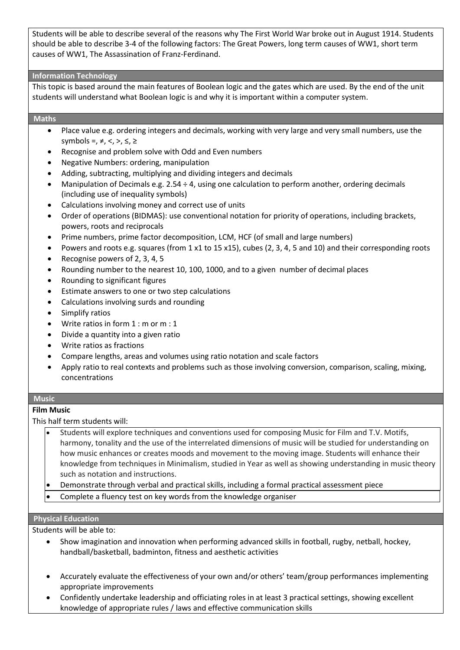Students will be able to describe several of the reasons why The First World War broke out in August 1914. Students should be able to describe 3-4 of the following factors: The Great Powers, long term causes of WW1, short term causes of WW1, The Assassination of Franz-Ferdinand.

#### **Information Technology**

This topic is based around the main features of Boolean logic and the gates which are used. By the end of the unit students will understand what Boolean logic is and why it is important within a computer system.

### **Maths**

- Place value e.g. ordering integers and decimals, working with very large and very small numbers, use the symbols =,  $\neq$ ,  $\lt$ ,  $>$ ,  $\leq$ ,  $\geq$
- Recognise and problem solve with Odd and Even numbers
- Negative Numbers: ordering, manipulation
- Adding, subtracting, multiplying and dividing integers and decimals
- Manipulation of Decimals e.g. 2.54 ÷ 4, using one calculation to perform another, ordering decimals (including use of inequality symbols)
- Calculations involving money and correct use of units
- Order of operations (BIDMAS): use conventional notation for priority of operations, including brackets, powers, roots and reciprocals
- Prime numbers, prime factor decomposition, LCM, HCF (of small and large numbers)
- Powers and roots e.g. squares (from 1 x1 to 15 x15), cubes (2, 3, 4, 5 and 10) and their corresponding roots
- Recognise powers of 2, 3, 4, 5
- Rounding number to the nearest 10, 100, 1000, and to a given number of decimal places
- Rounding to significant figures
- Estimate answers to one or two step calculations
- Calculations involving surds and rounding
- Simplify ratios
- Write ratios in form  $1 : m$  or  $m : 1$
- Divide a quantity into a given ratio
- Write ratios as fractions
- Compare lengths, areas and volumes using ratio notation and scale factors
- Apply ratio to real contexts and problems such as those involving conversion, comparison, scaling, mixing, concentrations

#### **Music**

# **Film Music**

This half term students will:

- Students will explore techniques and conventions used for composing Music for Film and T.V. Motifs, harmony, tonality and the use of the interrelated dimensions of music will be studied for understanding on how music enhances or creates moods and movement to the moving image. Students will enhance their knowledge from techniques in Minimalism, studied in Year as well as showing understanding in music theory such as notation and instructions.
- Demonstrate through verbal and practical skills, including a formal practical assessment piece
- Complete a fluency test on key words from the knowledge organiser

#### **Physical Education**

Students will be able to:

- Show imagination and innovation when performing advanced skills in football, rugby, netball, hockey, handball/basketball, badminton, fitness and aesthetic activities
- Accurately evaluate the effectiveness of your own and/or others' team/group performances implementing appropriate improvements
- Confidently undertake leadership and officiating roles in at least 3 practical settings, showing excellent knowledge of appropriate rules / laws and effective communication skills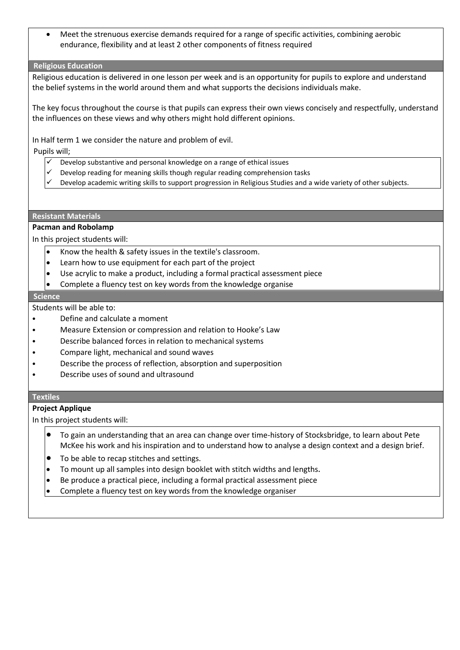• Meet the strenuous exercise demands required for a range of specific activities, combining aerobic endurance, flexibility and at least 2 other components of fitness required

#### **Religious Education**

Religious education is delivered in one lesson per week and is an opportunity for pupils to explore and understand the belief systems in the world around them and what supports the decisions individuals make.

The key focus throughout the course is that pupils can express their own views concisely and respectfully, understand the influences on these views and why others might hold different opinions.

In Half term 1 we consider the nature and problem of evil.

Pupils will;

- $\checkmark$  Develop substantive and personal knowledge on a range of ethical issues
- Develop reading for meaning skills though regular reading comprehension tasks
- Develop academic writing skills to support progression in Religious Studies and a wide variety of other subjects.

#### **Resistant Materials**

# **Pacman and Robolamp**

In this project students will:

- Know the health & safety issues in the textile's classroom.
- Learn how to use equipment for each part of the project
- Use acrylic to make a product, including a formal practical assessment piece
- Complete a fluency test on key words from the knowledge organise

#### **Science**

Students will be able to:

- Define and calculate a moment
- Measure Extension or compression and relation to Hooke's Law
- Describe balanced forces in relation to mechanical systems
- Compare light, mechanical and sound waves
- Describe the process of reflection, absorption and superposition
- Describe uses of sound and ultrasound

#### **Textiles**

#### **Project Applique**

In this project students will:

- To gain an understanding that an area can change over time-history of Stocksbridge, to learn about Pete McKee his work and his inspiration and to understand how to analyse a design context and a design brief.
- To be able to recap stitches and settings.
- To mount up all samples into design booklet with stitch widths and lengths**.**
- Be produce a practical piece, including a formal practical assessment piece
- Complete a fluency test on key words from the knowledge organiser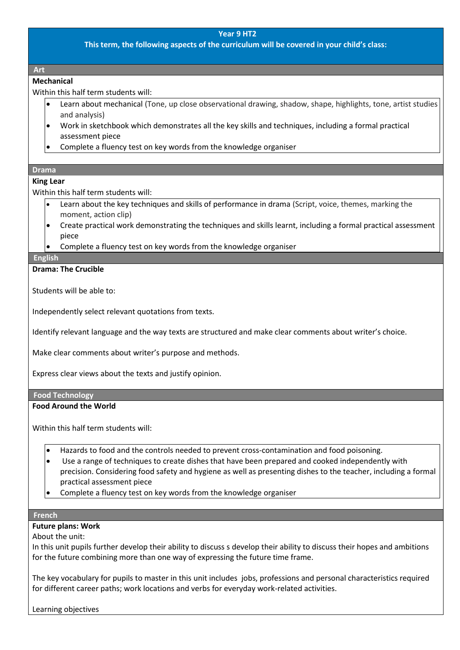**This term, the following aspects of the curriculum will be covered in your child's class:**

#### **Art**

#### **Mechanical**

Within this half term students will:

- Learn about mechanical (Tone, up close observational drawing, shadow, shape, highlights, tone, artist studies and analysis)
- Work in sketchbook which demonstrates all the key skills and techniques, including a formal practical assessment piece
- Complete a fluency test on key words from the knowledge organiser

#### **Drama**

#### **King Lear**

Within this half term students will:

- Learn about the key techniques and skills of performance in drama (Script, voice, themes, marking the moment, action clip)
- Create practical work demonstrating the techniques and skills learnt, including a formal practical assessment piece
- Complete a fluency test on key words from the knowledge organiser

#### **English**

#### **Drama: The Crucible**

Students will be able to:

Independently select relevant quotations from texts.

Identify relevant language and the way texts are structured and make clear comments about writer's choice.

Make clear comments about writer's purpose and methods.

Express clear views about the texts and justify opinion.

#### **Food Technology**

#### **Food Around the World**

Within this half term students will:

- Hazards to food and the controls needed to prevent cross-contamination and food poisoning.
- Use a range of techniques to create dishes that have been prepared and cooked independently with precision. Considering food safety and hygiene as well as presenting dishes to the teacher, including a formal practical assessment piece
- Complete a fluency test on key words from the knowledge organiser

#### **French**

#### **Future plans: Work**

About the unit:

In this unit pupils further develop their ability to discuss s develop their ability to discuss their hopes and ambitions for the future combining more than one way of expressing the future time frame.

The key vocabulary for pupils to master in this unit includes jobs, professions and personal characteristics required for different career paths; work locations and verbs for everyday work-related activities.

Learning objectives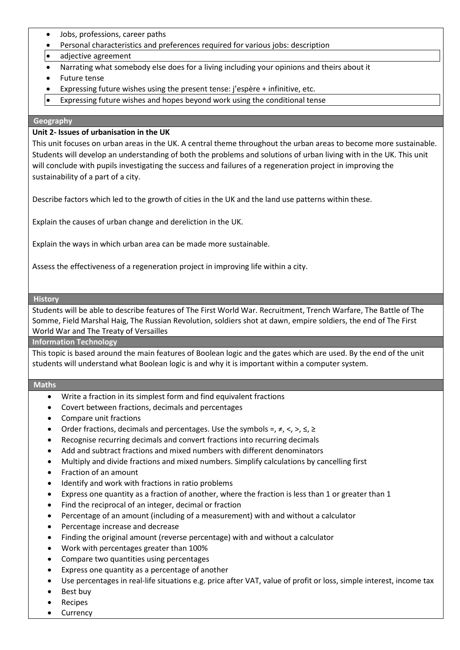- Jobs, professions, career paths
- Personal characteristics and preferences required for various jobs: description
- adjective agreement
- Narrating what somebody else does for a living including your opinions and theirs about it
- Future tense
- Expressing future wishes using the present tense: j'espère + infinitive, etc.
- Expressing future wishes and hopes beyond work using the conditional tense

#### **Geography**

#### **Unit 2- Issues of urbanisation in the UK**

This unit focuses on urban areas in the UK. A central theme throughout the urban areas to become more sustainable. Students will develop an understanding of both the problems and solutions of urban living with in the UK. This unit will conclude with pupils investigating the success and failures of a regeneration project in improving the sustainability of a part of a city.

Describe factors which led to the growth of cities in the UK and the land use patterns within these.

Explain the causes of urban change and dereliction in the UK.

Explain the ways in which urban area can be made more sustainable.

Assess the effectiveness of a regeneration project in improving life within a city.

# **History**

Students will be able to describe features of The First World War. Recruitment, Trench Warfare, The Battle of The Somme, Field Marshal Haig, The Russian Revolution, soldiers shot at dawn, empire soldiers, the end of The First World War and The Treaty of Versailles

**Information Technology**

This topic is based around the main features of Boolean logic and the gates which are used. By the end of the unit students will understand what Boolean logic is and why it is important within a computer system.

# **Maths**

- Write a fraction in its simplest form and find equivalent fractions
- Covert between fractions, decimals and percentages
- Compare unit fractions
- Order fractions, decimals and percentages. Use the symbols =,  $\neq$ ,  $\lt$ ,  $\gt$ ,  $\leq$ ,  $\geq$
- Recognise recurring decimals and convert fractions into recurring decimals
- Add and subtract fractions and mixed numbers with different denominators
- Multiply and divide fractions and mixed numbers. Simplify calculations by cancelling first
- Fraction of an amount
- Identify and work with fractions in ratio problems
- Express one quantity as a fraction of another, where the fraction is less than 1 or greater than 1
- Find the reciprocal of an integer, decimal or fraction
- Percentage of an amount (including of a measurement) with and without a calculator
- Percentage increase and decrease
- Finding the original amount (reverse percentage) with and without a calculator
- Work with percentages greater than 100%
- Compare two quantities using percentages
- Express one quantity as a percentage of another
- Use percentages in real-life situations e.g. price after VAT, value of profit or loss, simple interest, income tax
- Best buy
- **Recipes**
- **Currency**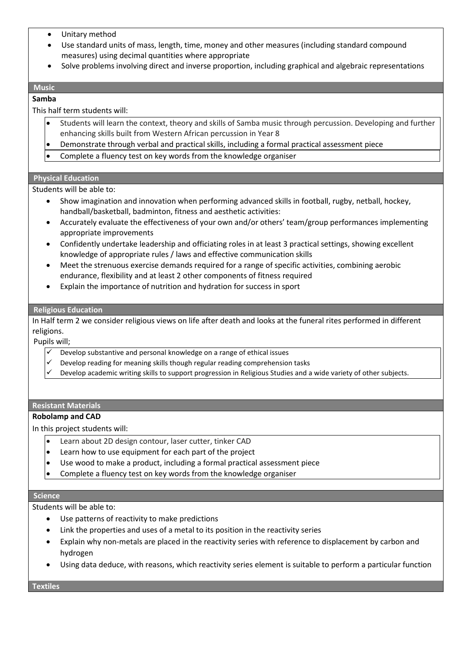- Unitary method
- Use standard units of mass, length, time, money and other measures (including standard compound measures) using decimal quantities where appropriate
- Solve problems involving direct and inverse proportion, including graphical and algebraic representations

# **Music**

#### **Samba**

This half term students will:

- Students will learn the context, theory and skills of Samba music through percussion. Developing and further enhancing skills built from Western African percussion in Year 8
- Demonstrate through verbal and practical skills, including a formal practical assessment piece
- Complete a fluency test on key words from the knowledge organiser

#### **Physical Education**

Students will be able to:

- Show imagination and innovation when performing advanced skills in football, rugby, netball, hockey, handball/basketball, badminton, fitness and aesthetic activities:
- Accurately evaluate the effectiveness of your own and/or others' team/group performances implementing appropriate improvements
- Confidently undertake leadership and officiating roles in at least 3 practical settings, showing excellent knowledge of appropriate rules / laws and effective communication skills
- Meet the strenuous exercise demands required for a range of specific activities, combining aerobic endurance, flexibility and at least 2 other components of fitness required
- Explain the importance of nutrition and hydration for success in sport

#### **Religious Education**

In Half term 2 we consider religious views on life after death and looks at the funeral rites performed in different religions.

Pupils will;

- Develop substantive and personal knowledge on a range of ethical issues
- Develop reading for meaning skills though regular reading comprehension tasks
- Develop academic writing skills to support progression in Religious Studies and a wide variety of other subjects.

#### **Resistant Materials**

#### **Robolamp and CAD**

In this project students will:

- Learn about 2D design contour, laser cutter, tinker CAD
- Learn how to use equipment for each part of the project
- Use wood to make a product, including a formal practical assessment piece
- Complete a fluency test on key words from the knowledge organiser

#### **Science**

Students will be able to:

- Use patterns of reactivity to make predictions
- Link the properties and uses of a metal to its position in the reactivity series
- Explain why non-metals are placed in the reactivity series with reference to displacement by carbon and hydrogen
- Using data deduce, with reasons, which reactivity series element is suitable to perform a particular function

**Textiles**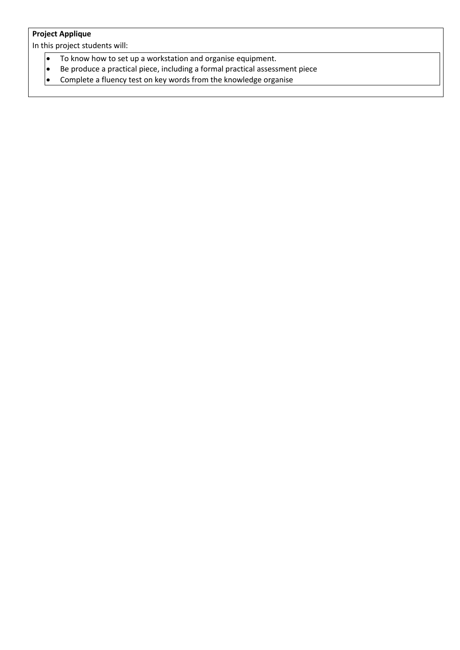# **Project Applique**

In this project students will:

- To know how to set up a workstation and organise equipment.
- Be produce a practical piece, including a formal practical assessment piece<br>• Complete a fluency test on key words from the knowledge organise
- Complete a fluency test on key words from the knowledge organise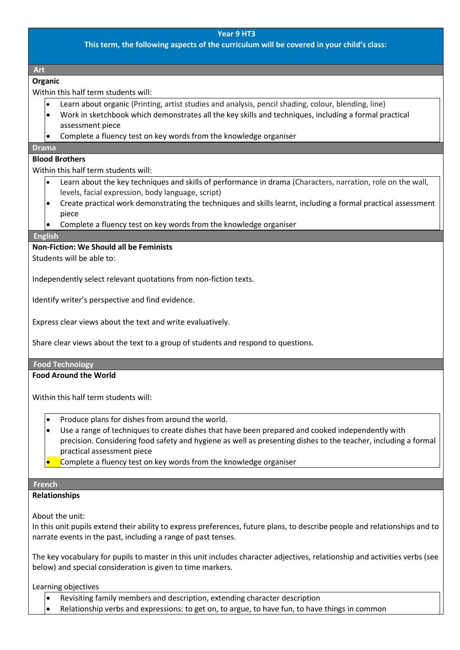**This term, the following aspects of the curriculum will be covered in your child's class:**

**Art** 

#### **Organic**

Within this half term students will:

- Learn about organic (Printing, artist studies and analysis, pencil shading, colour, blending, line)
- Work in sketchbook which demonstrates all the key skills and techniques, including a formal practical assessment piece
- Complete a fluency test on key words from the knowledge organiser

# **Drama**

# **Blood Brothers**

Within this half term students will:

- Learn about the key techniques and skills of performance in drama (Characters, narration, role on the wall, levels, facial expression, body language, script)
- Create practical work demonstrating the techniques and skills learnt, including a formal practical assessment piece
- Complete a fluency test on key words from the knowledge organiser

# **English**

**Non-Fiction: We Should all be Feminists**

Students will be able to:

Independently select relevant quotations from non-fiction texts.

Identify writer's perspective and find evidence.

Express clear views about the text and write evaluatively.

Share clear views about the text to a group of students and respond to questions.

#### **Food Technology**

# **Food Around the World**

Within this half term students will:

- Produce plans for dishes from around the world.
- Use a range of techniques to create dishes that have been prepared and cooked independently with precision. Considering food safety and hygiene as well as presenting dishes to the teacher, including a formal practical assessment piece
- Complete a fluency test on key words from the knowledge organiser

#### **French**

# **Relationships**

About the unit:

In this unit pupils extend their ability to express preferences, future plans, to describe people and relationships and to narrate events in the past, including a range of past tenses.

The key vocabulary for pupils to master in this unit includes character adjectives, relationship and activities verbs (see below) and special consideration is given to time markers.

Learning objectives

- Revisiting family members and description, extending character description
- Relationship verbs and expressions: to get on, to argue, to have fun, to have things in common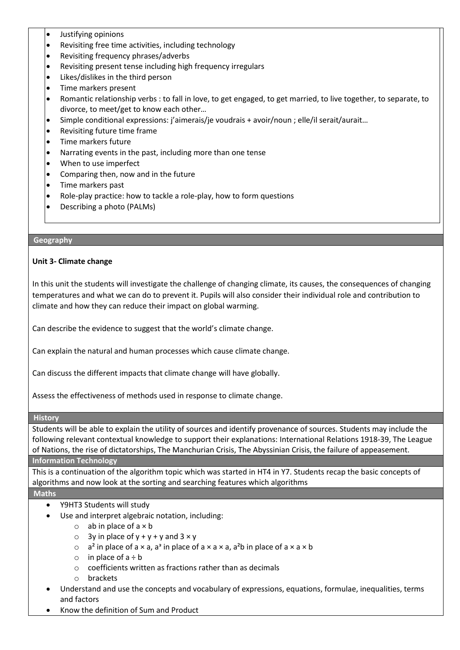- Justifying opinions
- Revisiting free time activities, including technology
- Revisiting frequency phrases/adverbs
- Revisiting present tense including high frequency irregulars
- Likes/dislikes in the third person
- Time markers present
- Romantic relationship verbs : to fall in love, to get engaged, to get married, to live together, to separate, to divorce, to meet/get to know each other…
- Simple conditional expressions: j'aimerais/je voudrais + avoir/noun ; elle/il serait/aurait…
- Revisiting future time frame
- Time markers future
- Narrating events in the past, including more than one tense
- When to use imperfect
- Comparing then, now and in the future
- Time markers past
- Role-play practice: how to tackle a role-play, how to form questions
- Describing a photo (PALMs)

#### **Geography**

# **Unit 3- Climate change**

In this unit the students will investigate the challenge of changing climate, its causes, the consequences of changing temperatures and what we can do to prevent it. Pupils will also consider their individual role and contribution to climate and how they can reduce their impact on global warming.

Can describe the evidence to suggest that the world's climate change.

Can explain the natural and human processes which cause climate change.

Can discuss the different impacts that climate change will have globally.

Assess the effectiveness of methods used in response to climate change.

#### **History**

Students will be able to explain the utility of sources and identify provenance of sources. Students may include the following relevant contextual knowledge to support their explanations: International Relations 1918-39, The League of Nations, the rise of dictatorships, The Manchurian Crisis, The Abyssinian Crisis, the failure of appeasement.

**Information Technology**

This is a continuation of the algorithm topic which was started in HT4 in Y7. Students recap the basic concepts of algorithms and now look at the sorting and searching features which algorithms

# **Maths**

- Y9HT3 Students will study
- Use and interpret algebraic notation, including:
	- $\circ$  ab in place of a  $\times$  b
	- $\circ$  3y in place of y + y + y and 3  $\times$  y
	- $\circ$  a<sup>2</sup> in place of a × a, a<sup>3</sup> in place of a × a × a, a<sup>2</sup>b in place of a × a × b
	- $\circ$  in place of  $a \div b$
	- o coefficients written as fractions rather than as decimals
	- o brackets
- Understand and use the concepts and vocabulary of expressions, equations, formulae, inequalities, terms and factors
- Know the definition of Sum and Product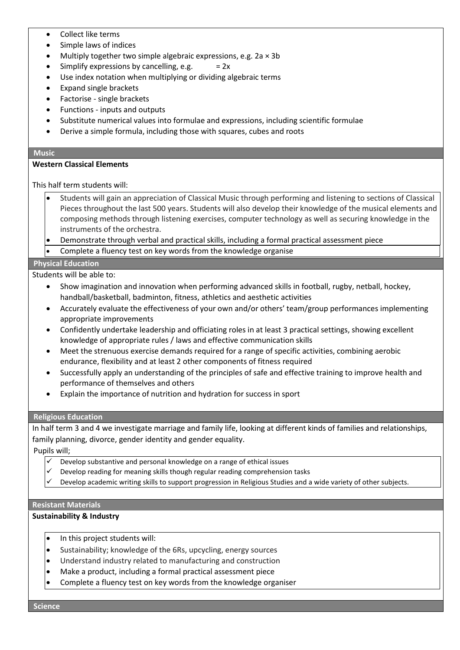- Collect like terms
- Simple laws of indices
- Multiply together two simple algebraic expressions, e.g.  $2a \times 3b$
- Simplify expressions by cancelling, e.g.  $= 2x$
- Use index notation when multiplying or dividing algebraic terms
- Expand single brackets
- Factorise single brackets
- Functions inputs and outputs
- Substitute numerical values into formulae and expressions, including scientific formulae
- Derive a simple formula, including those with squares, cubes and roots

#### **Music**

#### **Western Classical Elements**

This half term students will:

- Students will gain an appreciation of Classical Music through performing and listening to sections of Classical Pieces throughout the last 500 years. Students will also develop their knowledge of the musical elements and composing methods through listening exercises, computer technology as well as securing knowledge in the instruments of the orchestra.
- Demonstrate through verbal and practical skills, including a formal practical assessment piece
- Complete a fluency test on key words from the knowledge organise

# **Physical Education**

Students will be able to:

- Show imagination and innovation when performing advanced skills in football, rugby, netball, hockey, handball/basketball, badminton, fitness, athletics and aesthetic activities
- Accurately evaluate the effectiveness of your own and/or others' team/group performances implementing appropriate improvements
- Confidently undertake leadership and officiating roles in at least 3 practical settings, showing excellent knowledge of appropriate rules / laws and effective communication skills
- Meet the strenuous exercise demands required for a range of specific activities, combining aerobic endurance, flexibility and at least 2 other components of fitness required
- Successfully apply an understanding of the principles of safe and effective training to improve health and performance of themselves and others
- Explain the importance of nutrition and hydration for success in sport

#### **Religious Education**

In half term 3 and 4 we investigate marriage and family life, looking at different kinds of families and relationships, family planning, divorce, gender identity and gender equality.

Pupils will;

- Develop substantive and personal knowledge on a range of ethical issues
- $\checkmark$  Develop reading for meaning skills though regular reading comprehension tasks
- Develop academic writing skills to support progression in Religious Studies and a wide variety of other subjects.

### **Resistant Materials**

#### **Sustainability & Industry**

- In this project students will:
- Sustainability; knowledge of the 6Rs, upcycling, energy sources
- Understand industry related to manufacturing and construction
- Make a product, including a formal practical assessment piece
- Complete a fluency test on key words from the knowledge organiser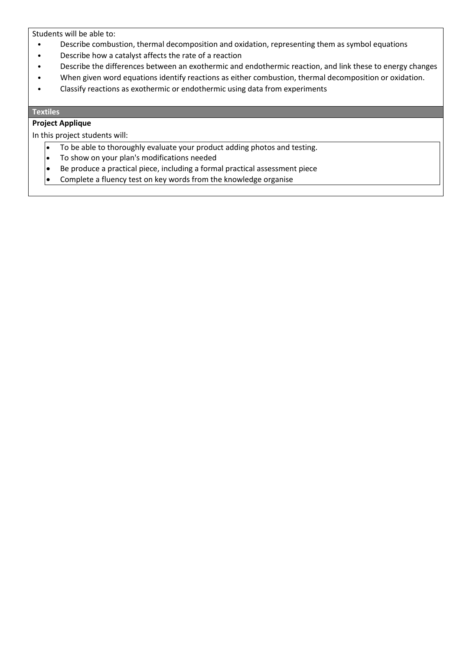Students will be able to:

- Describe combustion, thermal decomposition and oxidation, representing them as symbol equations
- Describe how a catalyst affects the rate of a reaction
- Describe the differences between an exothermic and endothermic reaction, and link these to energy changes
- When given word equations identify reactions as either combustion, thermal decomposition or oxidation.
- Classify reactions as exothermic or endothermic using data from experiments

#### **Textiles**

# **Project Applique**

In this project students will:

- To be able to thoroughly evaluate your product adding photos and testing.
- To show on your plan's modifications needed
- Be produce a practical piece, including a formal practical assessment piece
- Complete a fluency test on key words from the knowledge organise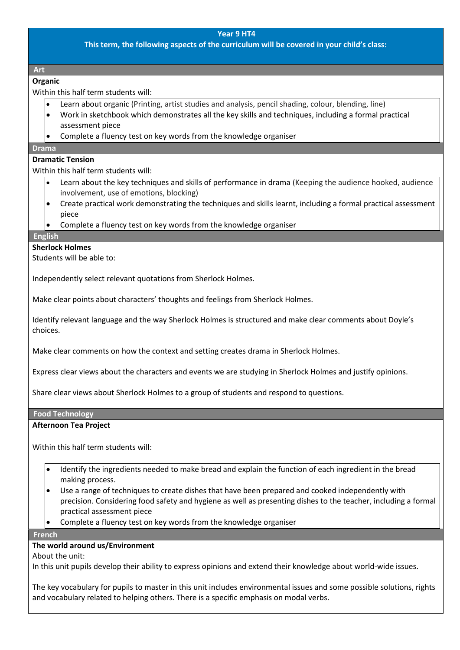**This term, the following aspects of the curriculum will be covered in your child's class:**

**Art** 

### **Organic**

Within this half term students will:

- Learn about organic (Printing, artist studies and analysis, pencil shading, colour, blending, line)
- Work in sketchbook which demonstrates all the key skills and techniques, including a formal practical assessment piece
- Complete a fluency test on key words from the knowledge organiser

#### **Drama**

### **Dramatic Tension**

Within this half term students will:

- Learn about the key techniques and skills of performance in drama (Keeping the audience hooked, audience involvement, use of emotions, blocking)
- Create practical work demonstrating the techniques and skills learnt, including a formal practical assessment piece
- Complete a fluency test on key words from the knowledge organiser

#### **English**

#### **Sherlock Holmes**

Students will be able to:

Independently select relevant quotations from Sherlock Holmes.

Make clear points about characters' thoughts and feelings from Sherlock Holmes.

Identify relevant language and the way Sherlock Holmes is structured and make clear comments about Doyle's choices.

Make clear comments on how the context and setting creates drama in Sherlock Holmes.

Express clear views about the characters and events we are studying in Sherlock Holmes and justify opinions.

Share clear views about Sherlock Holmes to a group of students and respond to questions.

#### **Food Technology**

#### **Afternoon Tea Project**

Within this half term students will:

- Identify the ingredients needed to make bread and explain the function of each ingredient in the bread making process.
- Use a range of techniques to create dishes that have been prepared and cooked independently with precision. Considering food safety and hygiene as well as presenting dishes to the teacher, including a formal practical assessment piece
- Complete a fluency test on key words from the knowledge organiser

#### **French**

# **The world around us/Environment**

About the unit:

In this unit pupils develop their ability to express opinions and extend their knowledge about world-wide issues.

The key vocabulary for pupils to master in this unit includes environmental issues and some possible solutions, rights and vocabulary related to helping others. There is a specific emphasis on modal verbs.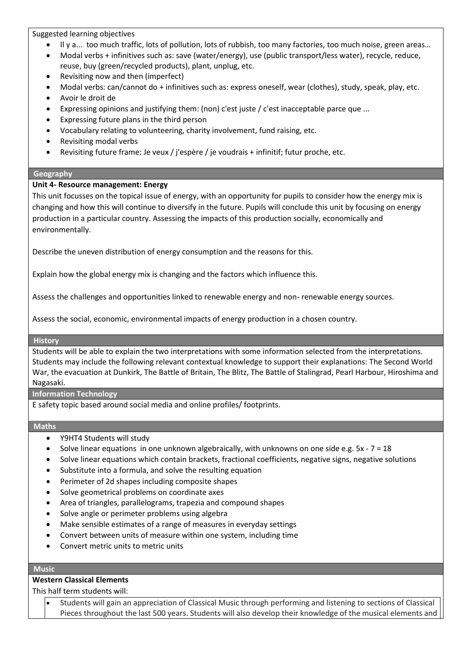Suggested learning objectives

- Il y a... too much traffic, lots of pollution, lots of rubbish, too many factories, too much noise, green areas…
- Modal verbs + infinitives such as: save (water/energy), use (public transport/less water), recycle, reduce, reuse, buy (green/recycled products), plant, unplug, etc.
- Revisiting now and then (imperfect)
- Modal verbs: can/cannot do + infinitives such as: express oneself, wear (clothes), study, speak, play, etc.
- Avoir le droit de
- Expressing opinions and justifying them: (non) c'est juste / c'est inacceptable parce que ...
- Expressing future plans in the third person
- Vocabulary relating to volunteering, charity involvement, fund raising, etc.
- Revisiting modal verbs
- Revisiting future frame: Je veux / j'espère / je voudrais + infinitif; futur proche, etc.

# **Geography**

# **Unit 4- Resource management: Energy**

This unit focusses on the topical issue of energy, with an opportunity for pupils to consider how the energy mix is changing and how this will continue to diversify in the future. Pupils will conclude this unit by focusing on energy production in a particular country. Assessing the impacts of this production socially, economically and environmentally.

Describe the uneven distribution of energy consumption and the reasons for this.

Explain how the global energy mix is changing and the factors which influence this.

Assess the challenges and opportunities linked to renewable energy and non- renewable energy sources.

Assess the social, economic, environmental impacts of energy production in a chosen country.

#### **History**

Students will be able to explain the two interpretations with some information selected from the interpretations. Students may include the following relevant contextual knowledge to support their explanations: The Second World War, the evacuation at Dunkirk, The Battle of Britain, The Blitz, The Battle of Stalingrad, Pearl Harbour, Hiroshima and Nagasaki.

# **Information Technology**

E safety topic based around social media and online profiles/ footprints.

#### **Maths**

- Y9HT4 Students will study
- Solve linear equations in one unknown algebraically, with unknowns on one side e.g.  $5x 7 = 18$
- Solve linear equations which contain brackets, fractional coefficients, negative signs, negative solutions
- Substitute into a formula, and solve the resulting equation
- Perimeter of 2d shapes including composite shapes
- Solve geometrical problems on coordinate axes
- Area of triangles, parallelograms, trapezia and compound shapes
- Solve angle or perimeter problems using algebra
- Make sensible estimates of a range of measures in everyday settings
- Convert between units of measure within one system, including time
- Convert metric units to metric units

# **Music**

# **Western Classical Elements**

This half term students will:

• Students will gain an appreciation of Classical Music through performing and listening to sections of Classical Pieces throughout the last 500 years. Students will also develop their knowledge of the musical elements and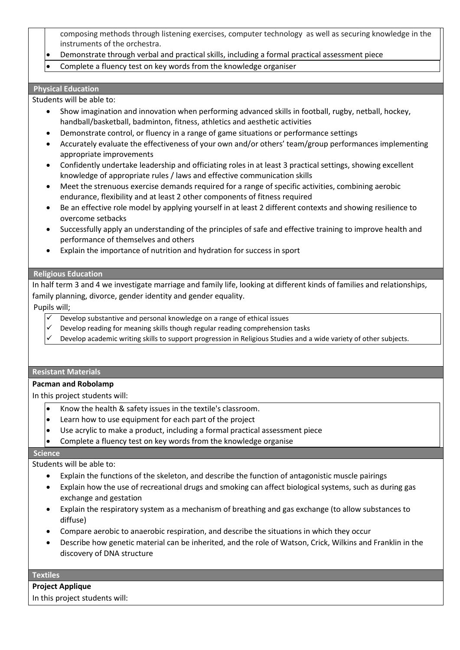composing methods through listening exercises, computer technology as well as securing knowledge in the instruments of the orchestra.

- Demonstrate through verbal and practical skills, including a formal practical assessment piece
- Complete a fluency test on key words from the knowledge organiser

### **Physical Education**

Students will be able to:

- Show imagination and innovation when performing advanced skills in football, rugby, netball, hockey, handball/basketball, badminton, fitness, athletics and aesthetic activities
- Demonstrate control, or fluency in a range of game situations or performance settings
- Accurately evaluate the effectiveness of your own and/or others' team/group performances implementing appropriate improvements
- Confidently undertake leadership and officiating roles in at least 3 practical settings, showing excellent knowledge of appropriate rules / laws and effective communication skills
- Meet the strenuous exercise demands required for a range of specific activities, combining aerobic endurance, flexibility and at least 2 other components of fitness required
- Be an effective role model by applying yourself in at least 2 different contexts and showing resilience to overcome setbacks
- Successfully apply an understanding of the principles of safe and effective training to improve health and performance of themselves and others
- Explain the importance of nutrition and hydration for success in sport

# **Religious Education**

In half term 3 and 4 we investigate marriage and family life, looking at different kinds of families and relationships, family planning, divorce, gender identity and gender equality.

# Pupils will;

- Develop substantive and personal knowledge on a range of ethical issues
- Develop reading for meaning skills though regular reading comprehension tasks
- Develop academic writing skills to support progression in Religious Studies and a wide variety of other subjects.

#### **Resistant Materials**

#### **Pacman and Robolamp**

In this project students will:

- Know the health & safety issues in the textile's classroom.
- $\left| \bullet \right|$  Learn how to use equipment for each part of the project
- Use acrylic to make a product, including a formal practical assessment piece
- Complete a fluency test on key words from the knowledge organise

#### **Science**

Students will be able to:

- Explain the functions of the skeleton, and describe the function of antagonistic muscle pairings
- Explain how the use of recreational drugs and smoking can affect biological systems, such as during gas exchange and gestation
- Explain the respiratory system as a mechanism of breathing and gas exchange (to allow substances to diffuse)
- Compare aerobic to anaerobic respiration, and describe the situations in which they occur
- Describe how genetic material can be inherited, and the role of Watson, Crick, Wilkins and Franklin in the discovery of DNA structure

#### **Textiles**

| <b>Project Applique</b>        |  |
|--------------------------------|--|
| In this project students will: |  |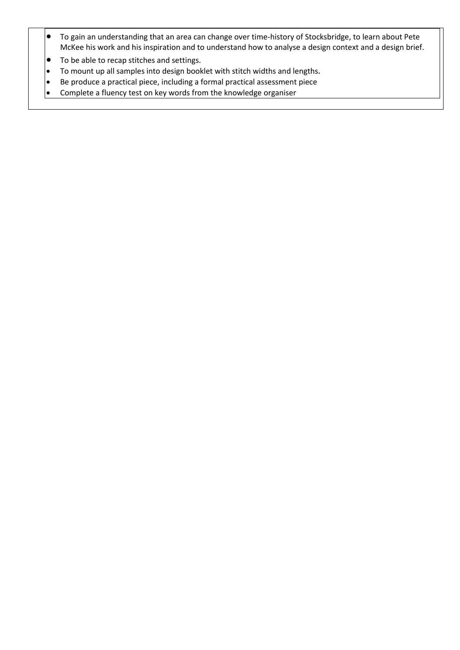- To gain an understanding that an area can change over time-history of Stocksbridge, to learn about Pete McKee his work and his inspiration and to understand how to analyse a design context and a design brief.
- To be able to recap stitches and settings.
- To mount up all samples into design booklet with stitch widths and lengths**.**
- Be produce a practical piece, including a formal practical assessment piece<br>• Complete a fluency test on key words from the knowledge organiser
- Complete a fluency test on key words from the knowledge organiser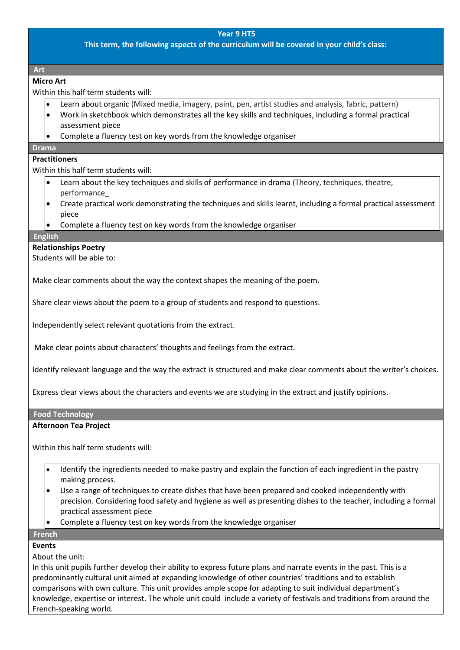**This term, the following aspects of the curriculum will be covered in your child's class:**

**Art** 

# **Micro Art**

Within this half term students will:

- Learn about organic (Mixed media, imagery, paint, pen, artist studies and analysis, fabric, pattern)
- Work in sketchbook which demonstrates all the key skills and techniques, including a formal practical assessment piece
- Complete a fluency test on key words from the knowledge organiser

# **Drama**

# **Practitioners**

Within this half term students will:

- Learn about the key techniques and skills of performance in drama (Theory, techniques, theatre, performance\_
- Create practical work demonstrating the techniques and skills learnt, including a formal practical assessment piece
- Complete a fluency test on key words from the knowledge organiser

#### **English**

# **Relationships Poetry**

Students will be able to:

Make clear comments about the way the context shapes the meaning of the poem.

Share clear views about the poem to a group of students and respond to questions.

Independently select relevant quotations from the extract.

Make clear points about characters' thoughts and feelings from the extract.

Identify relevant language and the way the extract is structured and make clear comments about the writer's choices.

Express clear views about the characters and events we are studying in the extract and justify opinions.

#### **Food Technology**

# **Afternoon Tea Project**

Within this half term students will:

- Identify the ingredients needed to make pastry and explain the function of each ingredient in the pastry making process.
- Use a range of techniques to create dishes that have been prepared and cooked independently with precision. Considering food safety and hygiene as well as presenting dishes to the teacher, including a formal practical assessment piece
- Complete a fluency test on key words from the knowledge organiser

# **French**

# **Events**

About the unit:

In this unit pupils further develop their ability to express future plans and narrate events in the past. This is a predominantly cultural unit aimed at expanding knowledge of other countries' traditions and to establish comparisons with own culture. This unit provides ample scope for adapting to suit individual department's knowledge, expertise or interest. The whole unit could include a variety of festivals and traditions from around the French-speaking world.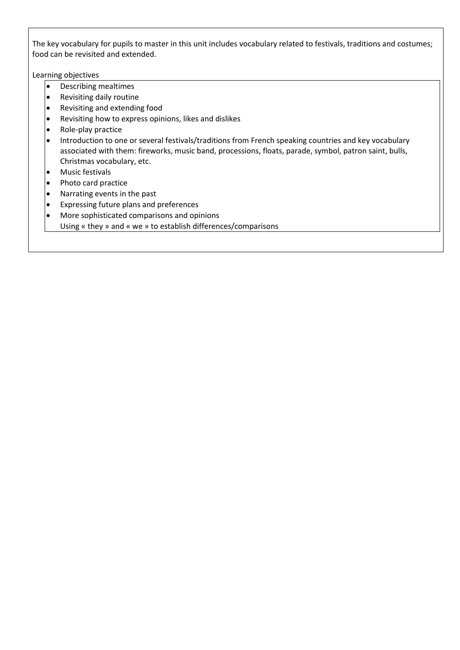The key vocabulary for pupils to master in this unit includes vocabulary related to festivals, traditions and costumes; food can be revisited and extended.

Learning objectives

- Describing mealtimes
- Revisiting daily routine
- Revisiting and extending food
- Revisiting how to express opinions, likes and dislikes
- Role-play practice
- Introduction to one or several festivals/traditions from French speaking countries and key vocabulary associated with them: fireworks, music band, processions, floats, parade, symbol, patron saint, bulls, Christmas vocabulary, etc.
- Music festivals
- Photo card practice
- Narrating events in the past<br>• Expressing future plans and
- Expressing future plans and preferences
- More sophisticated comparisons and opinions
- Using « they » and « we » to establish differences/comparisons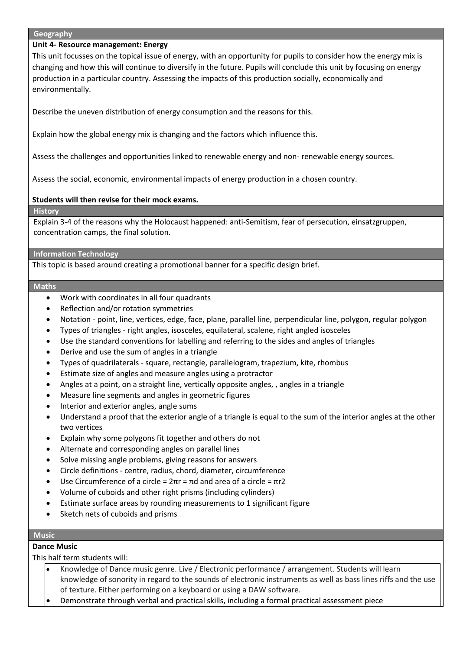#### **Geography**

# **Unit 4- Resource management: Energy**

This unit focusses on the topical issue of energy, with an opportunity for pupils to consider how the energy mix is changing and how this will continue to diversify in the future. Pupils will conclude this unit by focusing on energy production in a particular country. Assessing the impacts of this production socially, economically and environmentally.

Describe the uneven distribution of energy consumption and the reasons for this.

Explain how the global energy mix is changing and the factors which influence this.

Assess the challenges and opportunities linked to renewable energy and non- renewable energy sources.

Assess the social, economic, environmental impacts of energy production in a chosen country.

# **Students will then revise for their mock exams.**

**History**

Explain 3-4 of the reasons why the Holocaust happened: anti-Semitism, fear of persecution, einsatzgruppen, concentration camps, the final solution.

#### **Information Technology**

This topic is based around creating a promotional banner for a specific design brief.

#### **Maths**

- Work with coordinates in all four quadrants
- Reflection and/or rotation symmetries
- Notation point, line, vertices, edge, face, plane, parallel line, perpendicular line, polygon, regular polygon
- Types of triangles right angles, isosceles, equilateral, scalene, right angled isosceles
- Use the standard conventions for labelling and referring to the sides and angles of triangles
- Derive and use the sum of angles in a triangle
- Types of quadrilaterals square, rectangle, parallelogram, trapezium, kite, rhombus
- Estimate size of angles and measure angles using a protractor
- Angles at a point, on a straight line, vertically opposite angles, , angles in a triangle
- Measure line segments and angles in geometric figures
- Interior and exterior angles, angle sums
- Understand a proof that the exterior angle of a triangle is equal to the sum of the interior angles at the other two vertices
- Explain why some polygons fit together and others do not
- Alternate and corresponding angles on parallel lines
- Solve missing angle problems, giving reasons for answers
- Circle definitions centre, radius, chord, diameter, circumference
- Use Circumference of a circle =  $2πr = πd$  and area of a circle =  $πr2$
- Volume of cuboids and other right prisms (including cylinders)
- Estimate surface areas by rounding measurements to 1 significant figure
- Sketch nets of cuboids and prisms

#### **Music**

# **Dance Music**

This half term students will:

- Knowledge of Dance music genre. Live / Electronic performance / arrangement. Students will learn knowledge of sonority in regard to the sounds of electronic instruments as well as bass lines riffs and the use of texture. Either performing on a keyboard or using a DAW software.
- Demonstrate through verbal and practical skills, including a formal practical assessment piece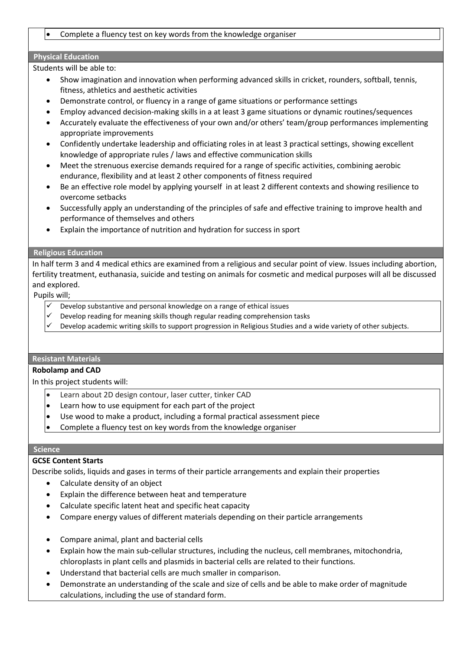# • Complete a fluency test on key words from the knowledge organiser

# **Physical Education**

Students will be able to:

- Show imagination and innovation when performing advanced skills in cricket, rounders, softball, tennis, fitness, athletics and aesthetic activities
- Demonstrate control, or fluency in a range of game situations or performance settings
- Employ advanced decision-making skills in a at least 3 game situations or dynamic routines/sequences
- Accurately evaluate the effectiveness of your own and/or others' team/group performances implementing appropriate improvements
- Confidently undertake leadership and officiating roles in at least 3 practical settings, showing excellent knowledge of appropriate rules / laws and effective communication skills
- Meet the strenuous exercise demands required for a range of specific activities, combining aerobic endurance, flexibility and at least 2 other components of fitness required
- Be an effective role model by applying yourself in at least 2 different contexts and showing resilience to overcome setbacks
- Successfully apply an understanding of the principles of safe and effective training to improve health and performance of themselves and others
- Explain the importance of nutrition and hydration for success in sport

#### **Religious Education**

In half term 3 and 4 medical ethics are examined from a religious and secular point of view. Issues including abortion, fertility treatment, euthanasia, suicide and testing on animals for cosmetic and medical purposes will all be discussed and explored.

Pupils will;

- Develop substantive and personal knowledge on a range of ethical issues
- Develop reading for meaning skills though regular reading comprehension tasks
- Develop academic writing skills to support progression in Religious Studies and a wide variety of other subjects.

# **Resistant Materials**

#### **Robolamp and CAD**

In this project students will:

- Learn about 2D design contour, laser cutter, tinker CAD
- Learn how to use equipment for each part of the project
- Use wood to make a product, including a formal practical assessment piece
- Complete a fluency test on key words from the knowledge organiser

#### **Science**

# **GCSE Content Starts**

Describe solids, liquids and gases in terms of their particle arrangements and explain their properties

- Calculate density of an object
- Explain the difference between heat and temperature
- Calculate specific latent heat and specific heat capacity
- Compare energy values of different materials depending on their particle arrangements
- Compare animal, plant and bacterial cells
- Explain how the main sub-cellular structures, including the nucleus, cell membranes, mitochondria, chloroplasts in plant cells and plasmids in bacterial cells are related to their functions.
- Understand that bacterial cells are much smaller in comparison.
- Demonstrate an understanding of the scale and size of cells and be able to make order of magnitude calculations, including the use of standard form.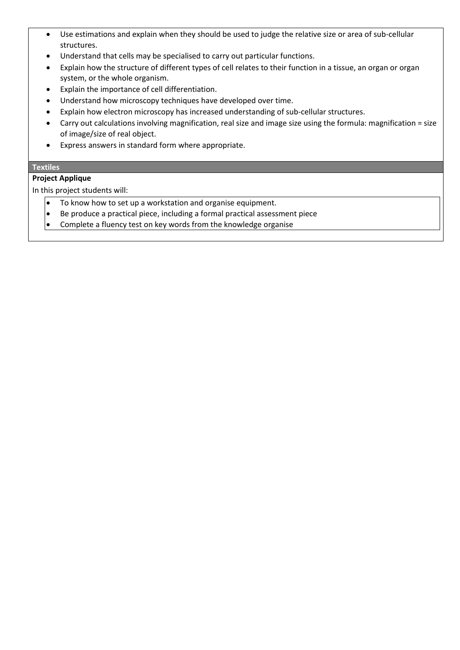- Use estimations and explain when they should be used to judge the relative size or area of sub-cellular structures.
- Understand that cells may be specialised to carry out particular functions.
- Explain how the structure of different types of cell relates to their function in a tissue, an organ or organ system, or the whole organism.
- Explain the importance of cell differentiation.
- Understand how microscopy techniques have developed over time.
- Explain how electron microscopy has increased understanding of sub-cellular structures.
- Carry out calculations involving magnification, real size and image size using the formula: magnification = size of image/size of real object.
- Express answers in standard form where appropriate.

# **Textiles**

# **Project Applique**

In this project students will:

- $\bullet$  To know how to set up a workstation and organise equipment.
- Be produce a practical piece, including a formal practical assessment piece
- $\left| \bullet \right|$  Complete a fluency test on key words from the knowledge organise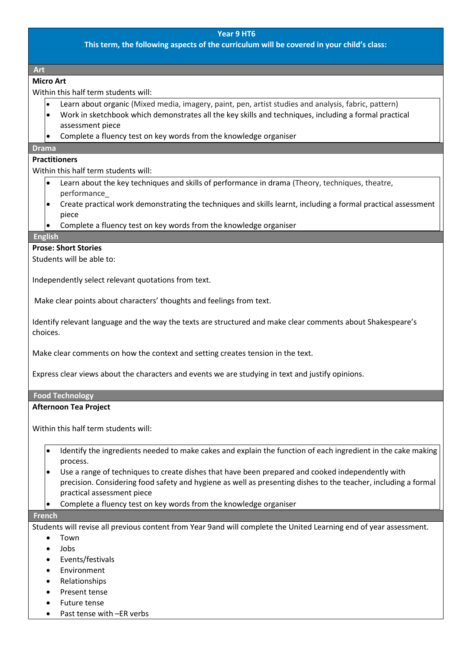**This term, the following aspects of the curriculum will be covered in your child's class:**

**Art** 

# **Micro Art**

Within this half term students will:

- Learn about organic (Mixed media, imagery, paint, pen, artist studies and analysis, fabric, pattern)
- Work in sketchbook which demonstrates all the key skills and techniques, including a formal practical assessment piece
- Complete a fluency test on key words from the knowledge organiser

# **Drama**

# **Practitioners**

Within this half term students will:

- Learn about the key techniques and skills of performance in drama (Theory, techniques, theatre, performance\_
- Create practical work demonstrating the techniques and skills learnt, including a formal practical assessment piece
- Complete a fluency test on key words from the knowledge organiser

#### **English**

# **Prose: Short Stories**

Students will be able to:

Independently select relevant quotations from text.

Make clear points about characters' thoughts and feelings from text.

Identify relevant language and the way the texts are structured and make clear comments about Shakespeare's choices.

Make clear comments on how the context and setting creates tension in the text.

Express clear views about the characters and events we are studying in text and justify opinions.

#### **Food Technology**

#### **Afternoon Tea Project**

Within this half term students will:

- Identify the ingredients needed to make cakes and explain the function of each ingredient in the cake making process.
- Use a range of techniques to create dishes that have been prepared and cooked independently with precision. Considering food safety and hygiene as well as presenting dishes to the teacher, including a formal practical assessment piece
- Complete a fluency test on key words from the knowledge organiser

#### **French**

Students will revise all previous content from Year 9and will complete the United Learning end of year assessment.

- Town
- Jobs
- Events/festivals
- Environment
- Relationships
- Present tense
- Future tense
- Past tense with -ER verbs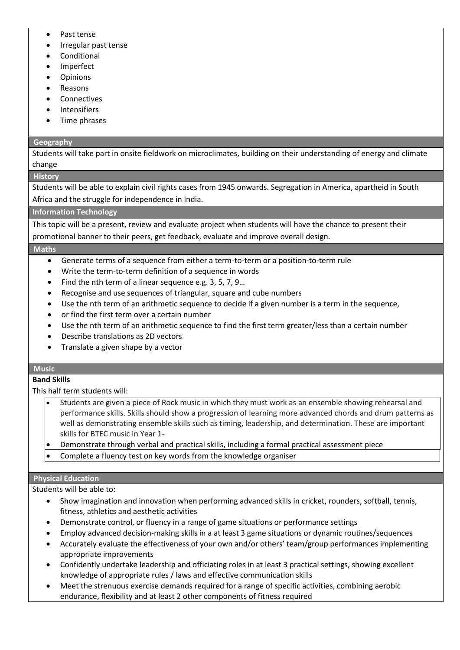- Past tense
- Irregular past tense
- **Conditional**
- **Imperfect**
- **Opinions**
- Reasons
- **Connectives**
- **Intensifiers**
- Time phrases

# **Geography**

Students will take part in onsite fieldwork on microclimates, building on their understanding of energy and climate change

# **History**

Students will be able to explain civil rights cases from 1945 onwards. Segregation in America, apartheid in South Africa and the struggle for independence in India.

# **Information Technology**

This topic will be a present, review and evaluate project when students will have the chance to present their promotional banner to their peers, get feedback, evaluate and improve overall design.

#### **Maths**

- Generate terms of a sequence from either a term-to-term or a position-to-term rule
- Write the term-to-term definition of a sequence in words
- Find the nth term of a linear sequence e.g. 3, 5, 7, 9…
- Recognise and use sequences of triangular, square and cube numbers
- Use the nth term of an arithmetic sequence to decide if a given number is a term in the sequence,
- or find the first term over a certain number
- Use the nth term of an arithmetic sequence to find the first term greater/less than a certain number
- Describe translations as 2D vectors
- Translate a given shape by a vector

# **Music**

# **Band Skills**

This half term students will:

- Students are given a piece of Rock music in which they must work as an ensemble showing rehearsal and performance skills. Skills should show a progression of learning more advanced chords and drum patterns as well as demonstrating ensemble skills such as timing, leadership, and determination. These are important skills for BTEC music in Year 1-
- Demonstrate through verbal and practical skills, including a formal practical assessment piece
- Complete a fluency test on key words from the knowledge organiser

#### **Physical Education**

Students will be able to:

- Show imagination and innovation when performing advanced skills in cricket, rounders, softball, tennis, fitness, athletics and aesthetic activities
- Demonstrate control, or fluency in a range of game situations or performance settings
- Employ advanced decision-making skills in a at least 3 game situations or dynamic routines/sequences
- Accurately evaluate the effectiveness of your own and/or others' team/group performances implementing appropriate improvements
- Confidently undertake leadership and officiating roles in at least 3 practical settings, showing excellent knowledge of appropriate rules / laws and effective communication skills
- Meet the strenuous exercise demands required for a range of specific activities, combining aerobic endurance, flexibility and at least 2 other components of fitness required